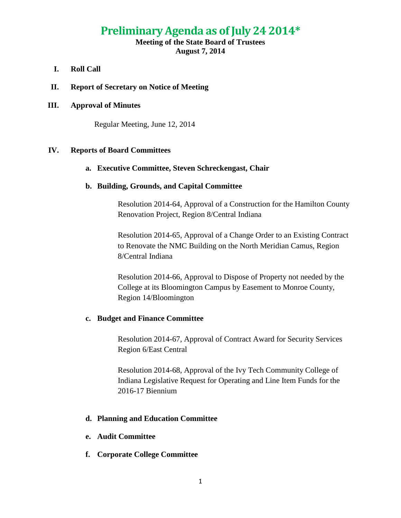# **Preliminary Agenda as of July 24 2014\***

# **Meeting of the State Board of Trustees August 7, 2014**

- **I. Roll Call**
- **II. Report of Secretary on Notice of Meeting**

## **III. Approval of Minutes**

Regular Meeting, June 12, 2014

# **IV. Reports of Board Committees**

#### **a. Executive Committee, Steven Schreckengast, Chair**

# **b. Building, Grounds, and Capital Committee**

Resolution 2014-64, Approval of a Construction for the Hamilton County Renovation Project, Region 8/Central Indiana

Resolution 2014-65, Approval of a Change Order to an Existing Contract to Renovate the NMC Building on the North Meridian Camus, Region 8/Central Indiana

Resolution 2014-66, Approval to Dispose of Property not needed by the College at its Bloomington Campus by Easement to Monroe County, Region 14/Bloomington

#### **c. Budget and Finance Committee**

Resolution 2014-67, Approval of Contract Award for Security Services Region 6/East Central

Resolution 2014-68, Approval of the Ivy Tech Community College of Indiana Legislative Request for Operating and Line Item Funds for the 2016-17 Biennium

# **d. Planning and Education Committee**

- **e. Audit Committee**
- **f. Corporate College Committee**